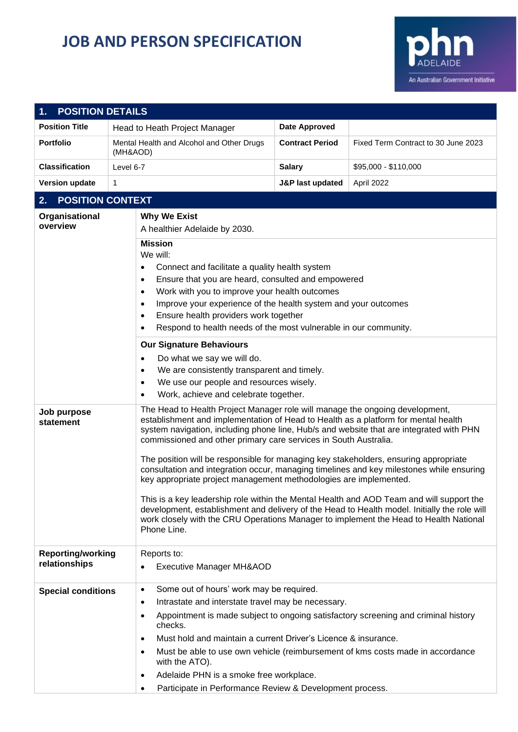## **JOB AND PERSON SPECIFICATION**



| <b>POSITION DETAILS</b><br>1.             |                                                                                                                                                                                                                                                                                                                               |                                                                                                                                                                                                                                                                                                                                                                                                                                                                                                                                                                                                                                                                                                                                                                                                                                                                                 |                                     |  |  |  |
|-------------------------------------------|-------------------------------------------------------------------------------------------------------------------------------------------------------------------------------------------------------------------------------------------------------------------------------------------------------------------------------|---------------------------------------------------------------------------------------------------------------------------------------------------------------------------------------------------------------------------------------------------------------------------------------------------------------------------------------------------------------------------------------------------------------------------------------------------------------------------------------------------------------------------------------------------------------------------------------------------------------------------------------------------------------------------------------------------------------------------------------------------------------------------------------------------------------------------------------------------------------------------------|-------------------------------------|--|--|--|
| <b>Position Title</b>                     | Head to Heath Project Manager                                                                                                                                                                                                                                                                                                 | Date Approved                                                                                                                                                                                                                                                                                                                                                                                                                                                                                                                                                                                                                                                                                                                                                                                                                                                                   |                                     |  |  |  |
| <b>Portfolio</b>                          | Mental Health and Alcohol and Other Drugs<br>(MH&AOD)                                                                                                                                                                                                                                                                         | <b>Contract Period</b>                                                                                                                                                                                                                                                                                                                                                                                                                                                                                                                                                                                                                                                                                                                                                                                                                                                          | Fixed Term Contract to 30 June 2023 |  |  |  |
| <b>Classification</b>                     | Level 6-7                                                                                                                                                                                                                                                                                                                     | <b>Salary</b>                                                                                                                                                                                                                                                                                                                                                                                                                                                                                                                                                                                                                                                                                                                                                                                                                                                                   | \$95,000 - \$110,000                |  |  |  |
| <b>Version update</b>                     | $\mathbf{1}$                                                                                                                                                                                                                                                                                                                  | <b>J&amp;P last updated</b>                                                                                                                                                                                                                                                                                                                                                                                                                                                                                                                                                                                                                                                                                                                                                                                                                                                     | April 2022                          |  |  |  |
| 2.                                        | <b>POSITION CONTEXT</b>                                                                                                                                                                                                                                                                                                       |                                                                                                                                                                                                                                                                                                                                                                                                                                                                                                                                                                                                                                                                                                                                                                                                                                                                                 |                                     |  |  |  |
| Organisational<br>overview                | <b>Why We Exist</b><br>A healthier Adelaide by 2030.<br><b>Mission</b><br>We will:<br>$\bullet$<br>$\bullet$<br>$\bullet$<br>$\bullet$<br>$\bullet$<br>$\bullet$                                                                                                                                                              | Connect and facilitate a quality health system<br>Ensure that you are heard, consulted and empowered<br>Work with you to improve your health outcomes<br>Improve your experience of the health system and your outcomes<br>Ensure health providers work together                                                                                                                                                                                                                                                                                                                                                                                                                                                                                                                                                                                                                |                                     |  |  |  |
|                                           | <b>Our Signature Behaviours</b><br>Do what we say we will do.<br>$\bullet$<br>$\bullet$<br>$\bullet$<br>$\bullet$                                                                                                                                                                                                             | Respond to health needs of the most vulnerable in our community.<br>We are consistently transparent and timely.<br>We use our people and resources wisely.<br>Work, achieve and celebrate together.                                                                                                                                                                                                                                                                                                                                                                                                                                                                                                                                                                                                                                                                             |                                     |  |  |  |
| Job purpose<br>statement                  | Phone Line.                                                                                                                                                                                                                                                                                                                   | The Head to Health Project Manager role will manage the ongoing development,<br>establishment and implementation of Head to Health as a platform for mental health<br>system navigation, including phone line, Hub/s and website that are integrated with PHN<br>commissioned and other primary care services in South Australia.<br>The position will be responsible for managing key stakeholders, ensuring appropriate<br>consultation and integration occur, managing timelines and key milestones while ensuring<br>key appropriate project management methodologies are implemented.<br>This is a key leadership role within the Mental Health and AOD Team and will support the<br>development, establishment and delivery of the Head to Health model. Initially the role will<br>work closely with the CRU Operations Manager to implement the Head to Health National |                                     |  |  |  |
| <b>Reporting/working</b><br>relationships | Reports to:<br><b>Executive Manager MH&amp;AOD</b><br>$\bullet$                                                                                                                                                                                                                                                               |                                                                                                                                                                                                                                                                                                                                                                                                                                                                                                                                                                                                                                                                                                                                                                                                                                                                                 |                                     |  |  |  |
| <b>Special conditions</b>                 | Some out of hours' work may be required.<br>$\bullet$<br>Intrastate and interstate travel may be necessary.<br>$\bullet$<br>$\bullet$<br>checks.<br>$\bullet$<br>$\bullet$<br>with the ATO).<br>Adelaide PHN is a smoke free workplace.<br>$\bullet$<br>Participate in Performance Review & Development process.<br>$\bullet$ | Appointment is made subject to ongoing satisfactory screening and criminal history<br>Must hold and maintain a current Driver's Licence & insurance.<br>Must be able to use own vehicle (reimbursement of kms costs made in accordance                                                                                                                                                                                                                                                                                                                                                                                                                                                                                                                                                                                                                                          |                                     |  |  |  |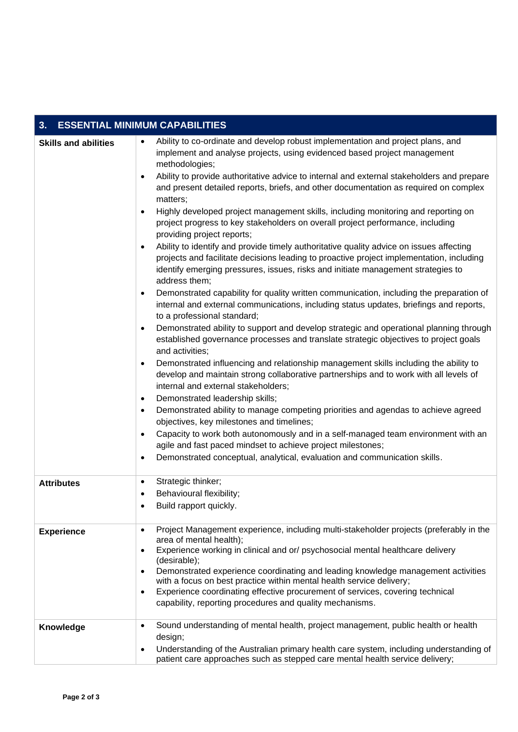| <b>ESSENTIAL MINIMUM CAPABILITIES</b><br>3. |                                                                                                                                                                                                                                                                                                                                                                                                                                                                                                                                                                                                                                                                                                                                                                                                                                                                                                                                                                                                                                                                                                                                                                                                                                                                                                                                                                                                                                                                                                                                                                                                                                                                                                                                                                                                                                                                                                                                                                                                                                                                          |  |  |  |
|---------------------------------------------|--------------------------------------------------------------------------------------------------------------------------------------------------------------------------------------------------------------------------------------------------------------------------------------------------------------------------------------------------------------------------------------------------------------------------------------------------------------------------------------------------------------------------------------------------------------------------------------------------------------------------------------------------------------------------------------------------------------------------------------------------------------------------------------------------------------------------------------------------------------------------------------------------------------------------------------------------------------------------------------------------------------------------------------------------------------------------------------------------------------------------------------------------------------------------------------------------------------------------------------------------------------------------------------------------------------------------------------------------------------------------------------------------------------------------------------------------------------------------------------------------------------------------------------------------------------------------------------------------------------------------------------------------------------------------------------------------------------------------------------------------------------------------------------------------------------------------------------------------------------------------------------------------------------------------------------------------------------------------------------------------------------------------------------------------------------------------|--|--|--|
| <b>Skills and abilities</b>                 | Ability to co-ordinate and develop robust implementation and project plans, and<br>$\bullet$<br>implement and analyse projects, using evidenced based project management<br>methodologies;<br>Ability to provide authoritative advice to internal and external stakeholders and prepare<br>and present detailed reports, briefs, and other documentation as required on complex<br>matters;<br>Highly developed project management skills, including monitoring and reporting on<br>$\bullet$<br>project progress to key stakeholders on overall project performance, including<br>providing project reports;<br>Ability to identify and provide timely authoritative quality advice on issues affecting<br>$\bullet$<br>projects and facilitate decisions leading to proactive project implementation, including<br>identify emerging pressures, issues, risks and initiate management strategies to<br>address them;<br>Demonstrated capability for quality written communication, including the preparation of<br>$\bullet$<br>internal and external communications, including status updates, briefings and reports,<br>to a professional standard;<br>Demonstrated ability to support and develop strategic and operational planning through<br>$\bullet$<br>established governance processes and translate strategic objectives to project goals<br>and activities;<br>Demonstrated influencing and relationship management skills including the ability to<br>$\bullet$<br>develop and maintain strong collaborative partnerships and to work with all levels of<br>internal and external stakeholders;<br>Demonstrated leadership skills;<br>$\bullet$<br>Demonstrated ability to manage competing priorities and agendas to achieve agreed<br>$\bullet$<br>objectives, key milestones and timelines;<br>Capacity to work both autonomously and in a self-managed team environment with an<br>$\bullet$<br>agile and fast paced mindset to achieve project milestones;<br>Demonstrated conceptual, analytical, evaluation and communication skills.<br>$\bullet$ |  |  |  |
| <b>Attributes</b>                           | Strategic thinker;<br>$\bullet$<br>Behavioural flexibility;<br>Build rapport quickly.                                                                                                                                                                                                                                                                                                                                                                                                                                                                                                                                                                                                                                                                                                                                                                                                                                                                                                                                                                                                                                                                                                                                                                                                                                                                                                                                                                                                                                                                                                                                                                                                                                                                                                                                                                                                                                                                                                                                                                                    |  |  |  |
| <b>Experience</b>                           | Project Management experience, including multi-stakeholder projects (preferably in the<br>$\bullet$<br>area of mental health);<br>Experience working in clinical and or/ psychosocial mental healthcare delivery<br>$\bullet$<br>(desirable);<br>Demonstrated experience coordinating and leading knowledge management activities<br>$\bullet$<br>with a focus on best practice within mental health service delivery;<br>Experience coordinating effective procurement of services, covering technical<br>$\bullet$<br>capability, reporting procedures and quality mechanisms.                                                                                                                                                                                                                                                                                                                                                                                                                                                                                                                                                                                                                                                                                                                                                                                                                                                                                                                                                                                                                                                                                                                                                                                                                                                                                                                                                                                                                                                                                         |  |  |  |
| Knowledge                                   | Sound understanding of mental health, project management, public health or health<br>$\bullet$<br>design;<br>Understanding of the Australian primary health care system, including understanding of<br>$\bullet$<br>patient care approaches such as stepped care mental health service delivery;                                                                                                                                                                                                                                                                                                                                                                                                                                                                                                                                                                                                                                                                                                                                                                                                                                                                                                                                                                                                                                                                                                                                                                                                                                                                                                                                                                                                                                                                                                                                                                                                                                                                                                                                                                         |  |  |  |